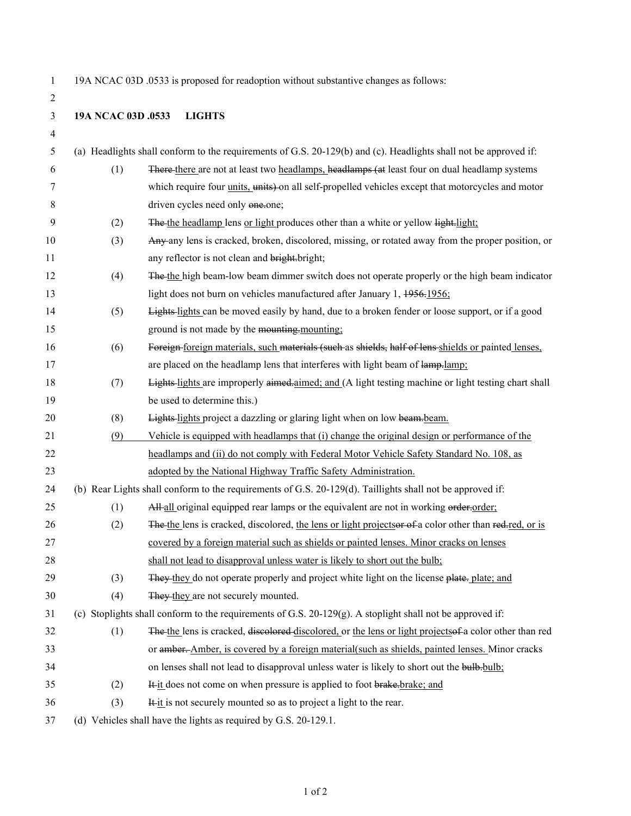2

1 19A NCAC 03D .0533 is proposed for readoption without substantive changes as follows:

|  |  | 19A NCAC 03D .0533 | <b>LIGHTS</b> |
|--|--|--------------------|---------------|
|--|--|--------------------|---------------|

| 4  |                                                                                                           |                                                                                                                  |  |
|----|-----------------------------------------------------------------------------------------------------------|------------------------------------------------------------------------------------------------------------------|--|
| 5  |                                                                                                           | (a) Headlights shall conform to the requirements of G.S. 20-129(b) and (c). Headlights shall not be approved if: |  |
| 6  | (1)                                                                                                       | There there are not at least two headlamps, headlamps (at least four on dual headlamp systems                    |  |
| 7  |                                                                                                           | which require four <i>units</i> , units) on all self-propelled vehicles except that motorcycles and motor        |  |
| 8  |                                                                                                           | driven cycles need only one.one;                                                                                 |  |
| 9  | (2)                                                                                                       | The the headlamp lens or light produces other than a white or yellow light.light;                                |  |
| 10 | (3)                                                                                                       | Any any lens is cracked, broken, discolored, missing, or rotated away from the proper position, or               |  |
| 11 |                                                                                                           | any reflector is not clean and bright.bright;                                                                    |  |
| 12 | (4)                                                                                                       | The the high beam-low beam dimmer switch does not operate properly or the high beam indicator                    |  |
| 13 |                                                                                                           | light does not burn on vehicles manufactured after January 1, 1956-1956;                                         |  |
| 14 | (5)                                                                                                       | Lights-lights can be moved easily by hand, due to a broken fender or loose support, or if a good                 |  |
| 15 |                                                                                                           | ground is not made by the mounting-mounting:                                                                     |  |
| 16 | (6)                                                                                                       | Foreign foreign materials, such materials (such as shields, half of lens shields or painted lenses,              |  |
| 17 |                                                                                                           | are placed on the headlamp lens that interferes with light beam of lamp-lamp:                                    |  |
| 18 | (7)                                                                                                       | Lights-lights are improperly aimed-aimed; and (A light testing machine or light testing chart shall              |  |
| 19 |                                                                                                           | be used to determine this.)                                                                                      |  |
| 20 | (8)                                                                                                       | Lights-lights project a dazzling or glaring light when on low beam-beam.                                         |  |
| 21 | (9)                                                                                                       | Vehicle is equipped with headlamps that (i) change the original design or performance of the                     |  |
| 22 |                                                                                                           | headlamps and (ii) do not comply with Federal Motor Vehicle Safety Standard No. 108, as                          |  |
| 23 |                                                                                                           | adopted by the National Highway Traffic Safety Administration.                                                   |  |
| 24 |                                                                                                           | (b) Rear Lights shall conform to the requirements of G.S. 20-129(d). Taillights shall not be approved if:        |  |
| 25 | (1)                                                                                                       | All all original equipped rear lamps or the equivalent are not in working order-order;                           |  |
| 26 | (2)                                                                                                       | The the lens is cracked, discolored, the lens or light projects of a color other than red-red, or is             |  |
| 27 |                                                                                                           | covered by a foreign material such as shields or painted lenses. Minor cracks on lenses                          |  |
| 28 |                                                                                                           | shall not lead to disapproval unless water is likely to short out the bulb;                                      |  |
| 29 | (3)                                                                                                       | They they do not operate properly and project white light on the license plate. plate; and                       |  |
| 30 | (4)                                                                                                       | They they are not securely mounted.                                                                              |  |
| 31 | (c) Stoplights shall conform to the requirements of G.S. 20-129(g). A stoplight shall not be approved if: |                                                                                                                  |  |
| 32 | (1)                                                                                                       | The the lens is cracked, discolored discolored, or the lens or light projects of a color other than red          |  |
| 33 |                                                                                                           | or amber. Amber, is covered by a foreign material(such as shields, painted lenses. Minor cracks                  |  |
| 34 |                                                                                                           | on lenses shall not lead to disapproval unless water is likely to short out the bulb-bulb:                       |  |
| 35 | (2)                                                                                                       | It it does not come on when pressure is applied to foot brake.brake; and                                         |  |
| 36 | (3)                                                                                                       | It it is not securely mounted so as to project a light to the rear.                                              |  |
| 37 |                                                                                                           | (d) Vehicles shall have the lights as required by G.S. 20-129.1.                                                 |  |